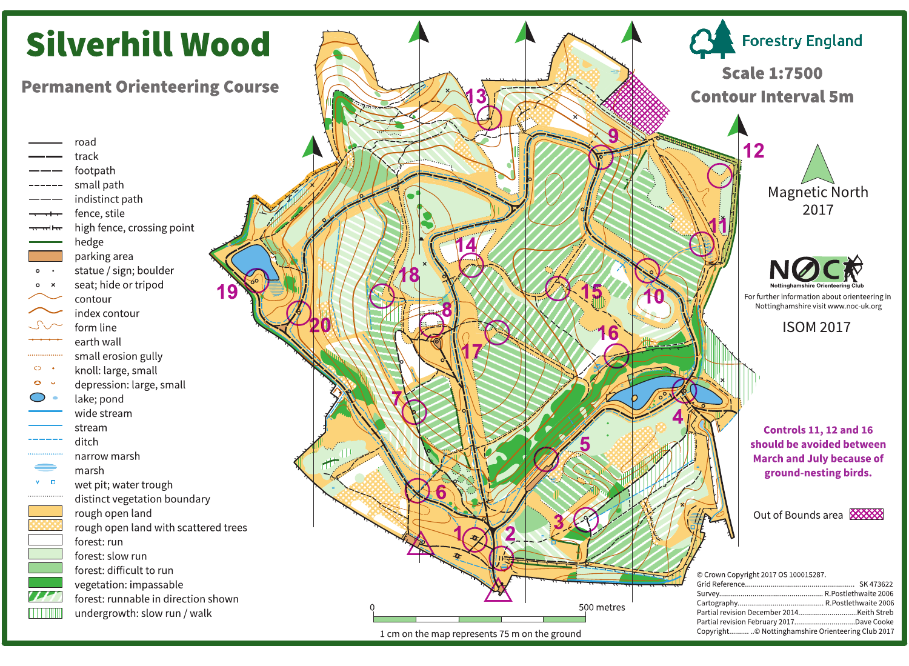# **Silverhill Wood**

**Permanent Orienteering Course** 

road track footpath small path indistinct path fence, stile high fence, crossing point hedge parking area statue / sign; boulder  $\circ\cdot$ seat; hide or tripod  $0 \times$ contour index contour form line earth wall small erosion gully  $\circ$  . knoll: large, small  $\Theta$   $\bullet$ depression: large, small lake; pond wide stream stream ditch narrow marsh marsh  $V$   $\Box$ wet pit; water trough distinct vegetation boundary rough open land rough open land with scattered trees forest: run forest: slow run forest: difficult to run vegetation: impassable forest: runnable in direction shown undergrowth: slow run / walk